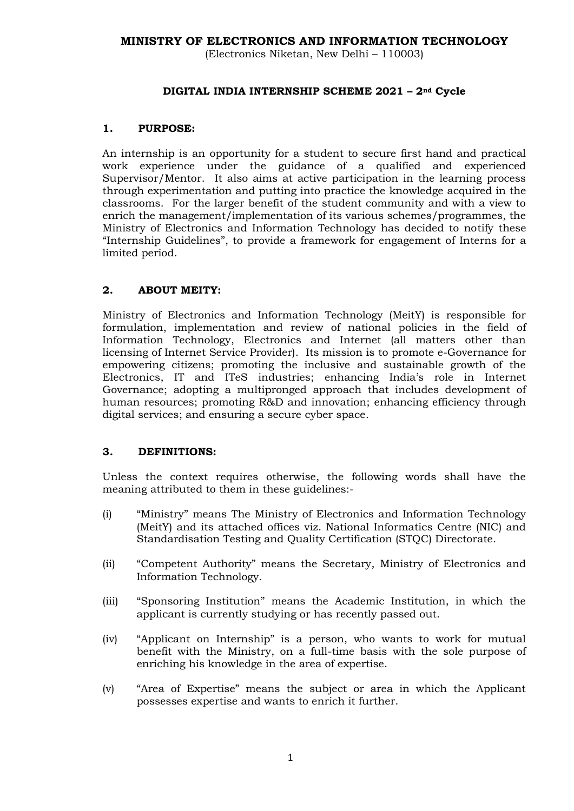## **MINISTRY OF ELECTRONICS AND INFORMATION TECHNOLOGY**

(Electronics Niketan, New Delhi – 110003)

#### **DIGITAL INDIA INTERNSHIP SCHEME 2021 – 2nd Cycle**

#### **1. PURPOSE:**

An internship is an opportunity for a student to secure first hand and practical work experience under the guidance of a qualified and experienced Supervisor/Mentor. It also aims at active participation in the learning process through experimentation and putting into practice the knowledge acquired in the classrooms. For the larger benefit of the student community and with a view to enrich the management/implementation of its various schemes/programmes, the Ministry of Electronics and Information Technology has decided to notify these "Internship Guidelines", to provide a framework for engagement of Interns for a limited period.

## **2. ABOUT MEITY:**

Ministry of Electronics and Information Technology (MeitY) is responsible for formulation, implementation and review of national policies in the field of Information Technology, Electronics and Internet (all matters other than licensing of Internet Service Provider). Its mission is to promote e-Governance for empowering citizens; promoting the inclusive and sustainable growth of the Electronics, IT and ITeS industries; enhancing India's role in Internet Governance; adopting a multipronged approach that includes development of human resources; promoting R&D and innovation; enhancing efficiency through digital services; and ensuring a secure cyber space.

#### **3. DEFINITIONS:**

Unless the context requires otherwise, the following words shall have the meaning attributed to them in these guidelines:-

- (i) "Ministry" means The Ministry of Electronics and Information Technology (MeitY) and its attached offices viz. National Informatics Centre (NIC) and Standardisation Testing and Quality Certification (STQC) Directorate.
- (ii) "Competent Authority" means the Secretary, Ministry of Electronics and Information Technology.
- (iii) "Sponsoring Institution" means the Academic Institution, in which the applicant is currently studying or has recently passed out.
- (iv) "Applicant on Internship" is a person, who wants to work for mutual benefit with the Ministry, on a full-time basis with the sole purpose of enriching his knowledge in the area of expertise.
- (v) "Area of Expertise" means the subject or area in which the Applicant possesses expertise and wants to enrich it further.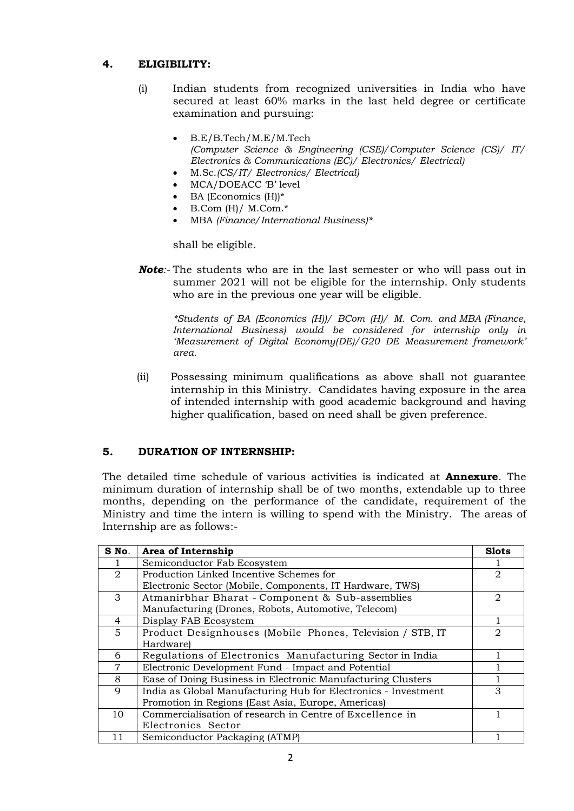## **4. ELIGIBILITY:**

- (i) Indian students from recognized universities in India who have secured at least 60% marks in the last held degree or certificate examination and pursuing:
	- B.E/B.Tech/M.E/M.Tech *(Computer Science & Engineering (CSE)/Computer Science (CS)/ IT/ Electronics & Communications (EC)/ Electronics/ Electrical)*
	- M.Sc.*(CS/IT/ Electronics/ Electrical)*
	- MCA/DOEACC 'B' level
	- BA (Economics (H))\*
	- B.Com (H)/ M.Com.\*
	- MBA *(Finance/International Business)\**

shall be eligible.

*Note:-* The students who are in the last semester or who will pass out in summer 2021 will not be eligible for the internship. Only students who are in the previous one year will be eligible.

*\*Students of BA (Economics (H))/ BCom (H)/ M. Com. and MBA (Finance, International Business) would be considered for internship only in 'Measurement of Digital Economy(DE)/G20 DE Measurement framework' area.* 

(ii) Possessing minimum qualifications as above shall not guarantee internship in this Ministry. Candidates having exposure in the area of intended internship with good academic background and having higher qualification, based on need shall be given preference.

## **5. DURATION OF INTERNSHIP:**

The detailed time schedule of various activities is indicated at **Annexure**. The minimum duration of internship shall be of two months, extendable up to three months, depending on the performance of the candidate, requirement of the Ministry and time the intern is willing to spend with the Ministry. The areas of Internship are as follows:-

| S No.           | Area of Internship                                             | <b>Slots</b>                |  |
|-----------------|----------------------------------------------------------------|-----------------------------|--|
|                 | Semiconductor Fab Ecosystem                                    |                             |  |
| 2               | Production Linked Incentive Schemes for                        |                             |  |
|                 | Electronic Sector (Mobile, Components, IT Hardware, TWS)       |                             |  |
| 3               | Atmanirbhar Bharat - Component & Sub-assemblies                |                             |  |
|                 | Manufacturing (Drones, Robots, Automotive, Telecom)            |                             |  |
| 4               | Display FAB Ecosystem                                          |                             |  |
| $5\overline{)}$ | Product Designhouses (Mobile Phones, Television / STB, IT      | $\mathcal{D}_{\mathcal{L}}$ |  |
|                 | Hardware)                                                      |                             |  |
| 6               | Regulations of Electronics Manufacturing Sector in India       |                             |  |
| $\overline{7}$  | Electronic Development Fund - Impact and Potential             |                             |  |
| 8               | Ease of Doing Business in Electronic Manufacturing Clusters    |                             |  |
| 9               | India as Global Manufacturing Hub for Electronics - Investment | 3                           |  |
|                 | Promotion in Regions (East Asia, Europe, Americas)             |                             |  |
| 10              | Commercialisation of research in Centre of Excellence in       |                             |  |
|                 | Electronics Sector                                             |                             |  |
| 11              | Semiconductor Packaging (ATMP)                                 |                             |  |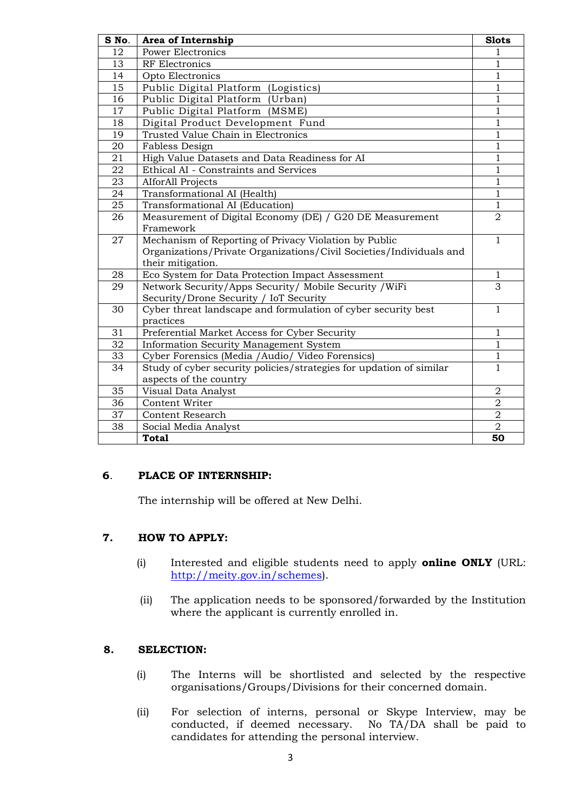| S No. | Area of Internship                                                  | <b>Slots</b>   |  |
|-------|---------------------------------------------------------------------|----------------|--|
| 12    | <b>Power Electronics</b>                                            | 1              |  |
| 13    | RF Electronics                                                      |                |  |
| 14    | Opto Electronics                                                    |                |  |
| 15    | Public Digital Platform (Logistics)                                 |                |  |
| 16    | Public Digital Platform (Urban)                                     |                |  |
| 17    | Public Digital Platform (MSME)                                      |                |  |
| 18    | Digital Product Development Fund                                    |                |  |
| 19    | Trusted Value Chain in Electronics                                  |                |  |
| 20    | Fabless Design                                                      |                |  |
| 21    | High Value Datasets and Data Readiness for AI                       |                |  |
| 22    | Ethical AI - Constraints and Services                               | $\mathbf{1}$   |  |
| 23    | <b>AlforAll Projects</b>                                            | $\mathbf{1}$   |  |
| 24    | Transformational AI (Health)                                        | $\mathbf{1}$   |  |
| 25    | Transformational AI (Education)                                     | $\overline{1}$ |  |
| 26    | Measurement of Digital Economy (DE) / G20 DE Measurement            | $\overline{2}$ |  |
|       | Framework                                                           |                |  |
| 27    | Mechanism of Reporting of Privacy Violation by Public               | $\mathbf{1}$   |  |
|       | Organizations/Private Organizations/Civil Societies/Individuals and |                |  |
|       | their mitigation.                                                   |                |  |
| 28    | Eco System for Data Protection Impact Assessment                    | 1              |  |
| 29    | Network Security/Apps Security/ Mobile Security / WiFi              | 3              |  |
|       | Security/Drone Security / IoT Security                              |                |  |
| 30    | Cyber threat landscape and formulation of cyber security best       | $\mathbf{1}$   |  |
|       | practices                                                           |                |  |
| 31    | Preferential Market Access for Cyber Security                       | 1              |  |
| 32    | <b>Information Security Management System</b>                       | 1              |  |
| 33    | Cyber Forensics (Media / Audio/ Video Forensics)                    | $\mathbf{1}$   |  |
| 34    | Study of cyber security policies/strategies for updation of similar | 1              |  |
|       | aspects of the country                                              |                |  |
| 35    | Visual Data Analyst                                                 | $\overline{2}$ |  |
| 36    | Content Writer                                                      | $\overline{2}$ |  |
| 37    | Content Research                                                    | $\sqrt{2}$     |  |
| 38    | Social Media Analyst                                                | $\overline{2}$ |  |
|       | <b>Total</b>                                                        | 50             |  |

## . **PLACE OF INTERNSHIP:**

The internship will be offered at New Delhi.

## **7. HOW TO APPLY:**

- (i) Interested and eligible students need to apply **online ONLY** (URL: [http://meity.gov.in/schemes\)](http://meity.gov.in/schemes).
- (ii) The application needs to be sponsored/forwarded by the Institution where the applicant is currently enrolled in.

## **8. SELECTION:**

- (i) The Interns will be shortlisted and selected by the respective organisations/Groups/Divisions for their concerned domain.
- (ii) For selection of interns, personal or Skype Interview, may be conducted, if deemed necessary. No TA/DA shall be paid to candidates for attending the personal interview.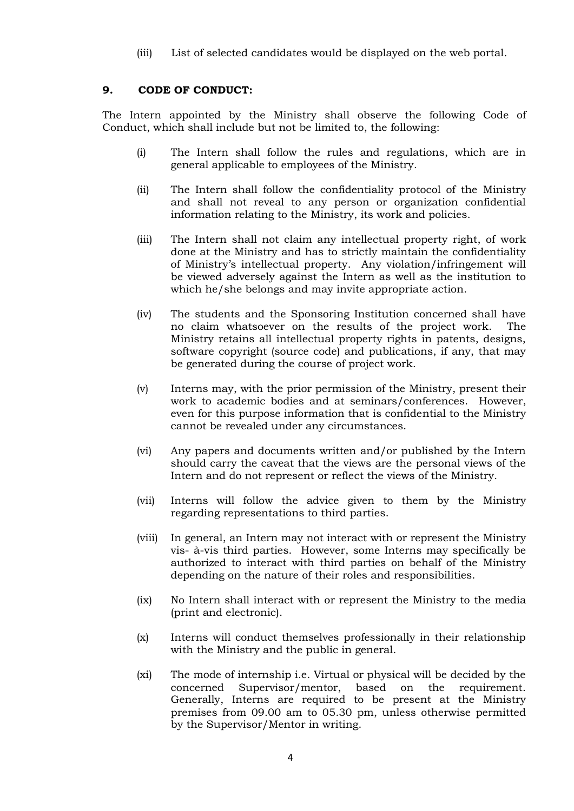(iii) List of selected candidates would be displayed on the web portal.

## **9. CODE OF CONDUCT:**

The Intern appointed by the Ministry shall observe the following Code of Conduct, which shall include but not be limited to, the following:

- (i) The Intern shall follow the rules and regulations, which are in general applicable to employees of the Ministry.
- (ii) The Intern shall follow the confidentiality protocol of the Ministry and shall not reveal to any person or organization confidential information relating to the Ministry, its work and policies.
- (iii) The Intern shall not claim any intellectual property right, of work done at the Ministry and has to strictly maintain the confidentiality of Ministry's intellectual property. Any violation/infringement will be viewed adversely against the Intern as well as the institution to which he/she belongs and may invite appropriate action.
- (iv) The students and the Sponsoring Institution concerned shall have no claim whatsoever on the results of the project work. The Ministry retains all intellectual property rights in patents, designs, software copyright (source code) and publications, if any, that may be generated during the course of project work.
- (v) Interns may, with the prior permission of the Ministry, present their work to academic bodies and at seminars/conferences. However, even for this purpose information that is confidential to the Ministry cannot be revealed under any circumstances.
- (vi) Any papers and documents written and/or published by the Intern should carry the caveat that the views are the personal views of the Intern and do not represent or reflect the views of the Ministry.
- (vii) Interns will follow the advice given to them by the Ministry regarding representations to third parties.
- (viii) In general, an Intern may not interact with or represent the Ministry vis- à-vis third parties. However, some Interns may specifically be authorized to interact with third parties on behalf of the Ministry depending on the nature of their roles and responsibilities.
- (ix) No Intern shall interact with or represent the Ministry to the media (print and electronic).
- (x) Interns will conduct themselves professionally in their relationship with the Ministry and the public in general.
- (xi) The mode of internship i.e. Virtual or physical will be decided by the concerned Supervisor/mentor, based on the requirement. Generally, Interns are required to be present at the Ministry premises from 09.00 am to 05.30 pm, unless otherwise permitted by the Supervisor/Mentor in writing.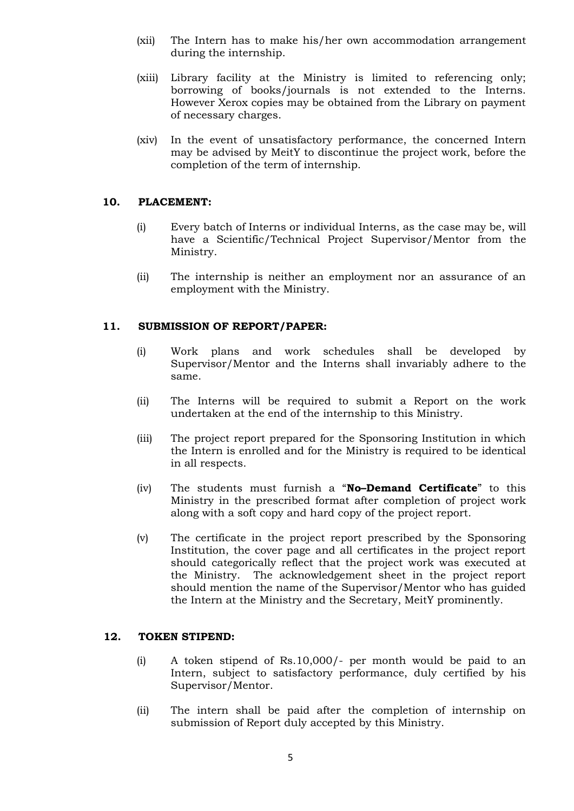- (xii) The Intern has to make his/her own accommodation arrangement during the internship.
- (xiii) Library facility at the Ministry is limited to referencing only; borrowing of books/journals is not extended to the Interns. However Xerox copies may be obtained from the Library on payment of necessary charges.
- (xiv) In the event of unsatisfactory performance, the concerned Intern may be advised by MeitY to discontinue the project work, before the completion of the term of internship.

## **10. PLACEMENT:**

- (i) Every batch of Interns or individual Interns, as the case may be, will have a Scientific/Technical Project Supervisor/Mentor from the Ministry.
- (ii) The internship is neither an employment nor an assurance of an employment with the Ministry.

## **11. SUBMISSION OF REPORT/PAPER:**

- (i) Work plans and work schedules shall be developed by Supervisor/Mentor and the Interns shall invariably adhere to the same.
- (ii) The Interns will be required to submit a Report on the work undertaken at the end of the internship to this Ministry.
- (iii) The project report prepared for the Sponsoring Institution in which the Intern is enrolled and for the Ministry is required to be identical in all respects.
- (iv) The students must furnish a "**No–Demand Certificate**" to this Ministry in the prescribed format after completion of project work along with a soft copy and hard copy of the project report.
- (v) The certificate in the project report prescribed by the Sponsoring Institution, the cover page and all certificates in the project report should categorically reflect that the project work was executed at the Ministry. The acknowledgement sheet in the project report should mention the name of the Supervisor/Mentor who has guided the Intern at the Ministry and the Secretary, MeitY prominently.

## **12. TOKEN STIPEND:**

- (i) A token stipend of Rs.10,000/- per month would be paid to an Intern, subject to satisfactory performance, duly certified by his Supervisor/Mentor.
- (ii) The intern shall be paid after the completion of internship on submission of Report duly accepted by this Ministry.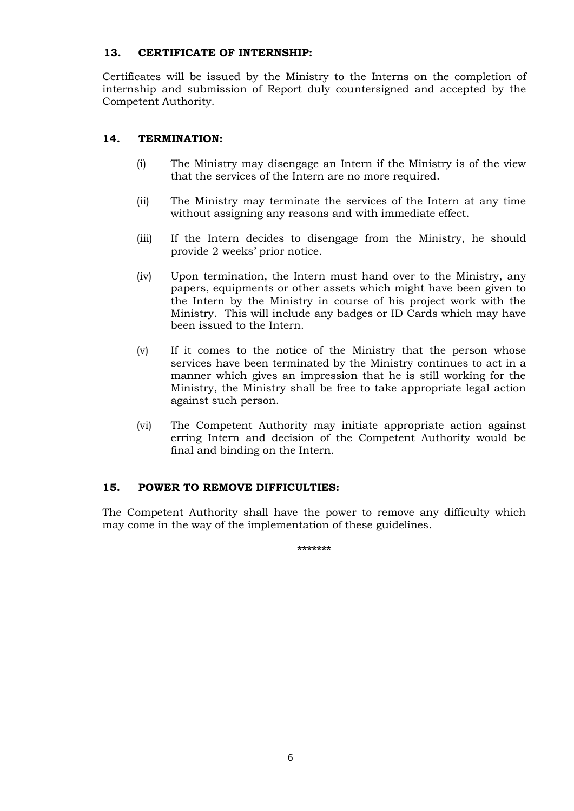## **13. CERTIFICATE OF INTERNSHIP:**

Certificates will be issued by the Ministry to the Interns on the completion of internship and submission of Report duly countersigned and accepted by the Competent Authority.

# **14. TERMINATION:**

- (i) The Ministry may disengage an Intern if the Ministry is of the view that the services of the Intern are no more required.
- (ii) The Ministry may terminate the services of the Intern at any time without assigning any reasons and with immediate effect.
- (iii) If the Intern decides to disengage from the Ministry, he should provide 2 weeks' prior notice.
- (iv) Upon termination, the Intern must hand over to the Ministry, any papers, equipments or other assets which might have been given to the Intern by the Ministry in course of his project work with the Ministry. This will include any badges or ID Cards which may have been issued to the Intern.
- (v) If it comes to the notice of the Ministry that the person whose services have been terminated by the Ministry continues to act in a manner which gives an impression that he is still working for the Ministry, the Ministry shall be free to take appropriate legal action against such person.
- (vi) The Competent Authority may initiate appropriate action against erring Intern and decision of the Competent Authority would be final and binding on the Intern.

## **15. POWER TO REMOVE DIFFICULTIES:**

The Competent Authority shall have the power to remove any difficulty which may come in the way of the implementation of these guidelines.

**\*\*\*\*\*\*\***